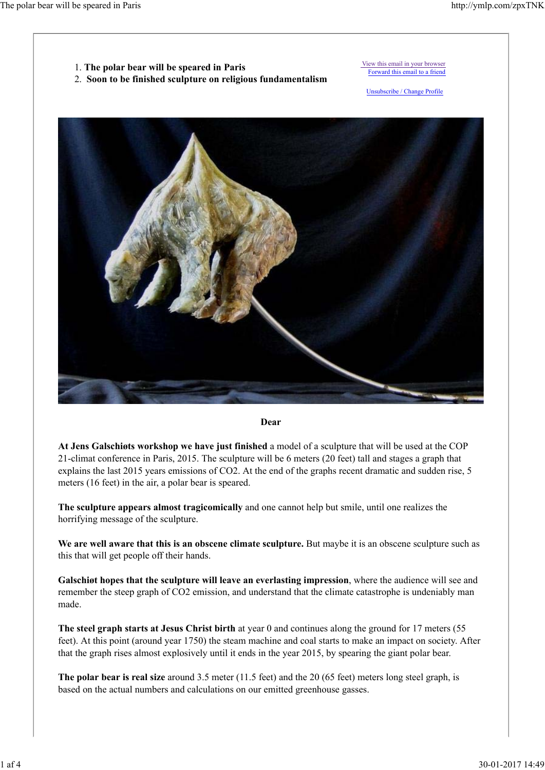

2. **Soon to be finished sculpture on religious fundamentalism** 

 View this email in your browser Forward this email to a friend

Unsubscribe / Change Profile



#### **Dear**

**At Jens Galschiøts workshop we have just finished** a model of a sculpture that will be used at the COP 21-climat conference in Paris, 2015. The sculpture will be 6 meters (20 feet) tall and stages a graph that explains the last 2015 years emissions of CO2. At the end of the graphs recent dramatic and sudden rise, 5 meters (16 feet) in the air, a polar bear is speared.

**The sculpture appears almost tragicomically** and one cannot help but smile, until one realizes the horrifying message of the sculpture.

We are well aware that this is an obscene climate sculpture. But maybe it is an obscene sculpture such as this that will get people off their hands.

**Galschiøt hopes that the sculpture will leave an everlasting impression**, where the audience will see and remember the steep graph of CO2 emission, and understand that the climate catastrophe is undeniably man made.

**The steel graph starts at Jesus Christ birth** at year 0 and continues along the ground for 17 meters (55 feet). At this point (around year 1750) the steam machine and coal starts to make an impact on society. After that the graph rises almost explosively until it ends in the year 2015, by spearing the giant polar bear.

**The polar bear is real size** around 3.5 meter (11.5 feet) and the 20 (65 feet) meters long steel graph, is based on the actual numbers and calculations on our emitted greenhouse gasses.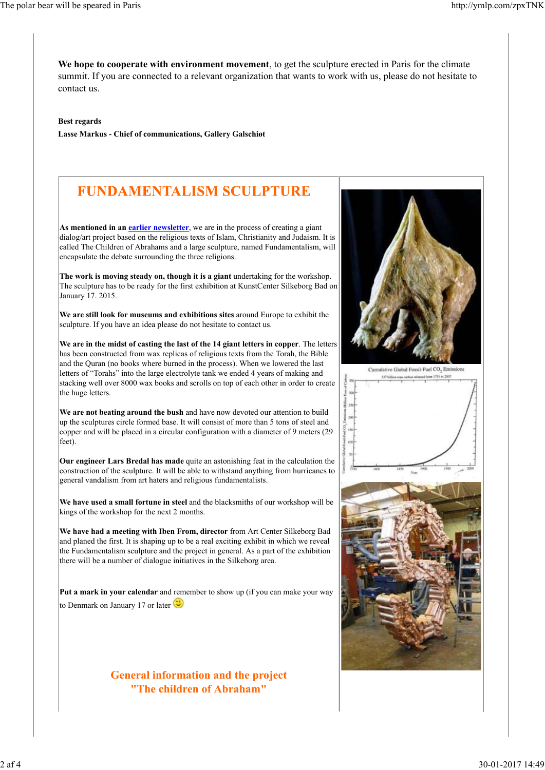**We hope to cooperate with environment movement**, to get the sculpture erected in Paris for the climate summit. If you are connected to a relevant organization that wants to work with us, please do not hesitate to contact us.

**Best regards**

**Lasse Markus - Chief of communications, Gallery Galschiøt**

## **FUNDAMENTALISM SCULPTURE**

**As mentioned in an earlier newsletter**, we are in the process of creating a giant dialog/art project based on the religious texts of Islam, Christianity and Judaism. It is called The Children of Abrahams and a large sculpture, named Fundamentalism, will encapsulate the debate surrounding the three religions.

**The work is moving steady on, though it is a giant** undertaking for the workshop. The sculpture has to be ready for the first exhibition at KunstCenter Silkeborg Bad on January 17. 2015.

**We are still look for museums and exhibitions sites** around Europe to exhibit the sculpture. If you have an idea please do not hesitate to contact us.

**We are in the midst of casting the last of the 14 giant letters in copper**. The letters has been constructed from wax replicas of religious texts from the Torah, the Bible and the Quran (no books where burned in the process). When we lowered the last letters of "Torahs" into the large electrolyte tank we ended 4 years of making and stacking well over 8000 wax books and scrolls on top of each other in order to create the huge letters.

**We are not beating around the bush** and have now devoted our attention to build up the sculptures circle formed base. It will consist of more than 5 tons of steel and copper and will be placed in a circular configuration with a diameter of 9 meters (29 feet).

**Our engineer Lars Bredal has made** quite an astonishing feat in the calculation the construction of the sculpture. It will be able to withstand anything from hurricanes to general vandalism from art haters and religious fundamentalists.

**We have used a small fortune in steel** and the blacksmiths of our workshop will be kings of the workshop for the next 2 months.

**We have had a meeting with Iben From, director** from Art Center Silkeborg Bad and planed the first. It is shaping up to be a real exciting exhibit in which we reveal the Fundamentalism sculpture and the project in general. As a part of the exhibition there will be a number of dialogue initiatives in the Silkeborg area.

**Put a mark in your calendar** and remember to show up (if you can make your way to Denmark on January 17 or later

### **General information and the project "The children of Abraham"**

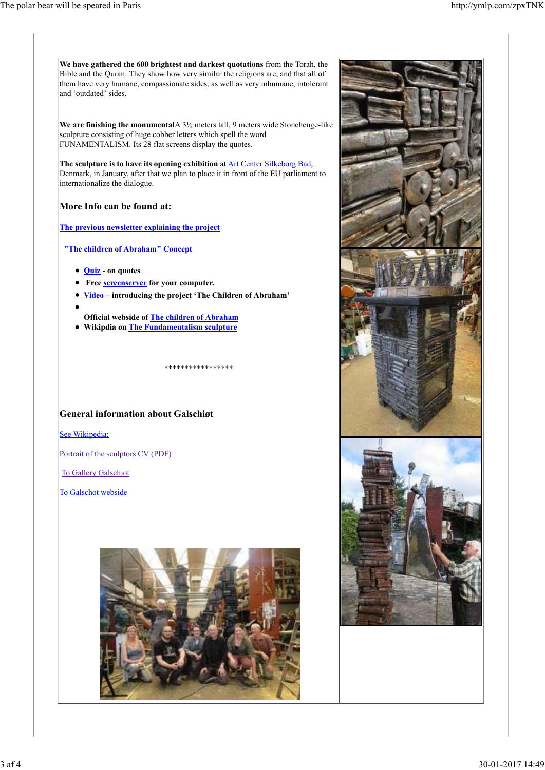**We have gathered the 600 brightest and darkest quotations** from the Torah, the Bible and the Quran. They show how very similar the religions are, and that all of them have very humane, compassionate sides, as well as very inhumane, intolerant and 'outdated' sides. **We are finishing the monumental**A 3½ meters tall, 9 meters wide Stonehenge-like sculpture consisting of huge cobber letters which spell the word FUNAMENTALISM. Its 28 flat screens display the quotes. **The sculpture is to have its opening exhibition** at Art Center Silkeborg Bad, Denmark, in January, after that we plan to place it in front of the EU parliament to internationalize the dialogue. **More Info can be found at: The previous newsletter explaining the project "The children of Abraham" Concept Quiz - on quotes Free screenserver for your computer. Video – introducing the project 'The Children of Abraham' Official webside of The children of Abraham Wikipdia on The Fundamentalism sculpture** \*\*\*\*\*\*\*\*\*\*\*\*\*\*\*\*\* **General information about Galschiøt** See Wikipedia: Portrait of the sculptors CV (PDF) To Gallery Galschiot To Galschot webside